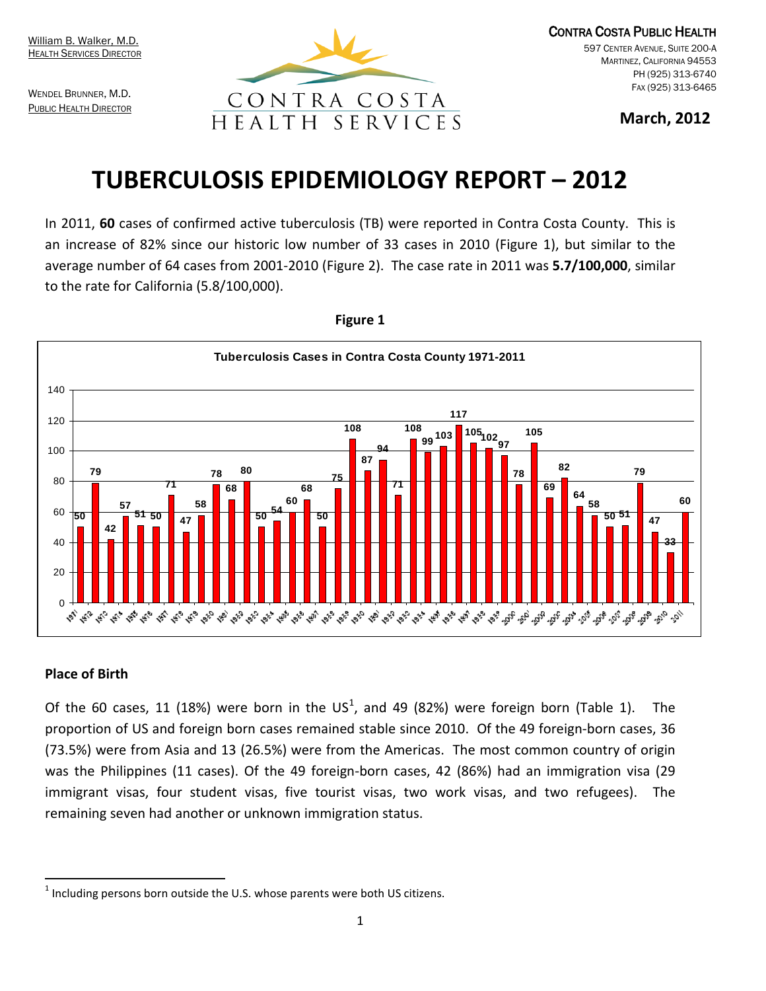WENDEL BRUNNER, M.D. **PUBLIC HEALTH DIRECTOR** 



CONTRA COSTA PUBLIC HEALTH CENTER AVENUE, SUITE 200-A MARTINEZ, CALIFORNIA 94553 PH (925) 313-6740 FAX (925) 313-6465

**March, 2012**

# **TUBERCULOSIS EPIDEMIOLOGY REPORT – 2012**

In 2011, **60** cases of confirmed active tuberculosis (TB) were reported in Contra Costa County. This is an increase of 82% since our historic low number of 33 cases in 2010 (Figure 1), but similar to the average number of 64 cases from 2001-2010 (Figure 2). The case rate in 2011 was **5.7/100,000**, similar to the rate for California (5.8/100,000).



### **Figure 1**

## **Place of Birth**

Of the 60 cases, [1](#page-0-0)1 (18%) were born in the US<sup>1</sup>, and 49 (82%) were foreign born (Table 1). The proportion of US and foreign born cases remained stable since 2010. Of the 49 foreign-born cases, 36 (73.5%) were from Asia and 13 (26.5%) were from the Americas. The most common country of origin was the Philippines (11 cases). Of the 49 foreign-born cases, 42 (86%) had an immigration visa (29 immigrant visas, four student visas, five tourist visas, two work visas, and two refugees). The remaining seven had another or unknown immigration status.

<span id="page-0-0"></span>Including persons born outside the U.S. whose parents were both US citizens.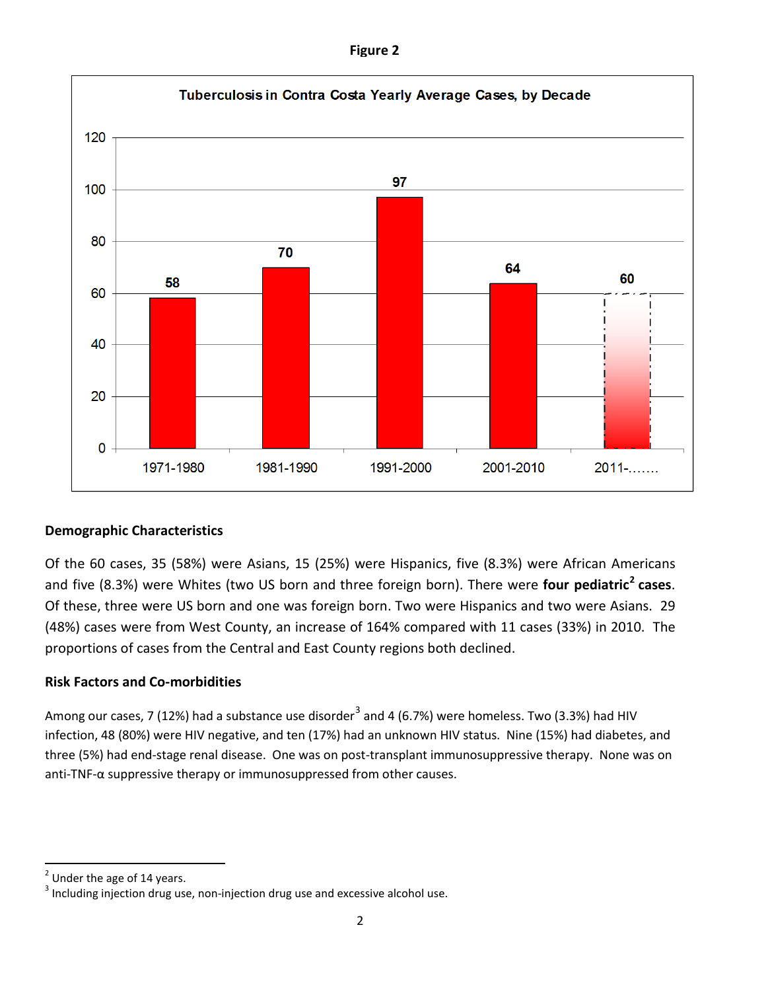| igur |  |
|------|--|
|------|--|



# **Demographic Characteristics**

Of the 60 cases, 35 (58%) were Asians, 15 (25%) were Hispanics, five (8.3%) were African Americans and five (8.3%) were Whites (two US born and three foreign born). There were **four pediatric[2](#page-1-0) cases**. Of these, three were US born and one was foreign born. Two were Hispanics and two were Asians. 29 (48%) cases were from West County, an increase of 164% compared with 11 cases (33%) in 2010. The proportions of cases from the Central and East County regions both declined.

## **Risk Factors and Co-morbidities**

Among our cases, 7 (12%) had a substance use disorder<sup>[3](#page-1-1)</sup> and 4 (6.7%) were homeless. Two (3.3%) had HIV infection, 48 (80%) were HIV negative, and ten (17%) had an unknown HIV status. Nine (15%) had diabetes, and three (5%) had end-stage renal disease. One was on post-transplant immunosuppressive therapy. None was on anti-TNF-α suppressive therapy or immunosuppressed from other causes.

<span id="page-1-0"></span> $2$  Under the age of 14 years.

<span id="page-1-1"></span><sup>&</sup>lt;sup>3</sup> Including injection drug use, non-injection drug use and excessive alcohol use.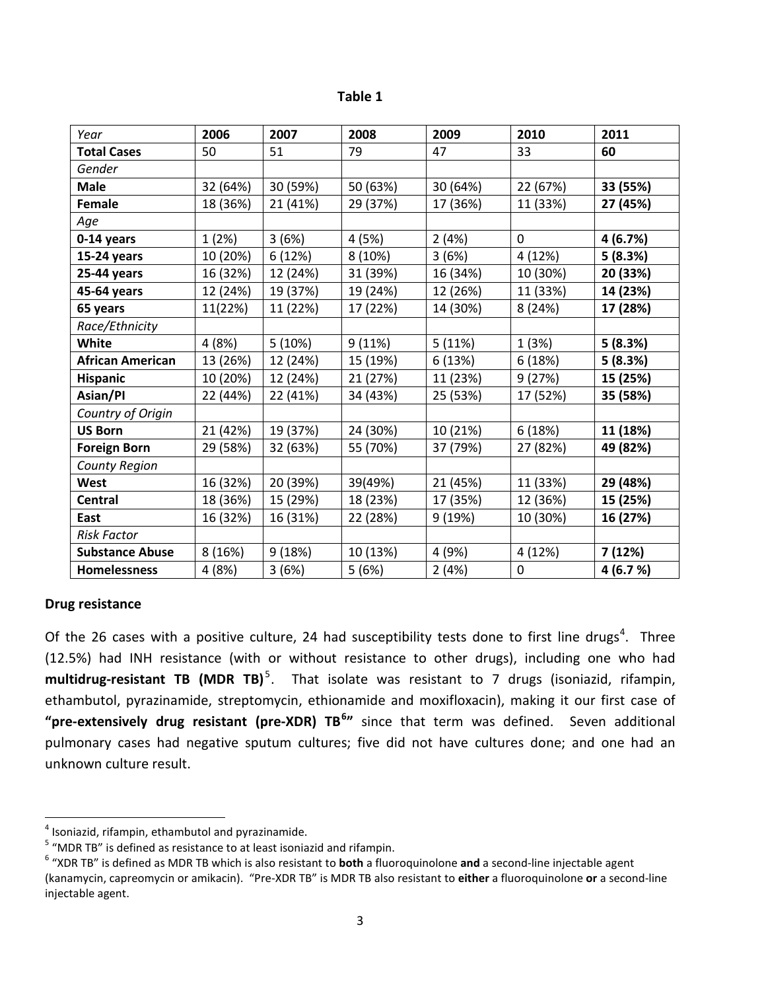| abi<br>ı |  |
|----------|--|
|----------|--|

| Year                    | 2006     | 2007     | 2008     | 2009     | 2010     | 2011     |
|-------------------------|----------|----------|----------|----------|----------|----------|
| <b>Total Cases</b>      | 50       | 51       | 79       | 47       | 33       | 60       |
| Gender                  |          |          |          |          |          |          |
| <b>Male</b>             | 32 (64%) | 30 (59%) | 50 (63%) | 30 (64%) | 22 (67%) | 33 (55%) |
| <b>Female</b>           | 18 (36%) | 21 (41%) | 29 (37%) | 17 (36%) | 11 (33%) | 27 (45%) |
| Age                     |          |          |          |          |          |          |
| 0-14 years              | 1(2%)    | 3(6%)    | 4 (5%)   | 2(4%)    | 0        | 4 (6.7%) |
| 15-24 years             | 10 (20%) | 6 (12%)  | 8 (10%)  | 3(6%)    | 4 (12%)  | 5(8.3%)  |
| 25-44 years             | 16 (32%) | 12 (24%) | 31 (39%) | 16 (34%) | 10 (30%) | 20 (33%) |
| 45-64 years             | 12 (24%) | 19 (37%) | 19 (24%) | 12 (26%) | 11 (33%) | 14 (23%) |
| 65 years                | 11(22%)  | 11 (22%) | 17 (22%) | 14 (30%) | 8(24%)   | 17 (28%) |
| Race/Ethnicity          |          |          |          |          |          |          |
| White                   | 4 (8%)   | 5 (10%)  | 9(11%)   | 5 (11%)  | 1(3%)    | 5(8.3%)  |
| <b>African American</b> | 13 (26%) | 12 (24%) | 15 (19%) | 6 (13%)  | 6(18%)   | 5(8.3%)  |
| <b>Hispanic</b>         | 10 (20%) | 12 (24%) | 21 (27%) | 11 (23%) | 9(27%)   | 15 (25%) |
| Asian/Pl                | 22 (44%) | 22 (41%) | 34 (43%) | 25 (53%) | 17 (52%) | 35 (58%) |
| Country of Origin       |          |          |          |          |          |          |
| <b>US Born</b>          | 21 (42%) | 19 (37%) | 24 (30%) | 10 (21%) | 6 (18%)  | 11 (18%) |
| <b>Foreign Born</b>     | 29 (58%) | 32 (63%) | 55 (70%) | 37 (79%) | 27 (82%) | 49 (82%) |
| <b>County Region</b>    |          |          |          |          |          |          |
| West                    | 16 (32%) | 20 (39%) | 39(49%)  | 21 (45%) | 11 (33%) | 29 (48%) |
| <b>Central</b>          | 18 (36%) | 15 (29%) | 18 (23%) | 17 (35%) | 12 (36%) | 15 (25%) |
| East                    | 16 (32%) | 16 (31%) | 22 (28%) | 9 (19%)  | 10 (30%) | 16 (27%) |
| <b>Risk Factor</b>      |          |          |          |          |          |          |
| <b>Substance Abuse</b>  | 8(16%)   | 9(18%)   | 10 (13%) | 4 (9%)   | 4 (12%)  | 7 (12%)  |
| <b>Homelessness</b>     | 4 (8%)   | 3(6%)    | 5(6%)    | 2(4%)    | 0        | 4(6.7%)  |

#### **Drug resistance**

Of the 26 cases with a positive culture, 2[4](#page-2-0) had susceptibility tests done to first line drugs<sup>4</sup>. Three (12.5%) had INH resistance (with or without resistance to other drugs), including one who had **multidrug-resistant TB (MDR TB)** [5](#page-2-1) . That isolate was resistant to 7 drugs (isoniazid, rifampin, ethambutol, pyrazinamide, streptomycin, ethionamide and moxifloxacin), making it our first case of "pre-extensively drug resistant (pre-XDR) TB<sup>[6](#page-2-2)</sup>" since that term was defined. Seven additional pulmonary cases had negative sputum cultures; five did not have cultures done; and one had an unknown culture result.

<span id="page-2-2"></span><span id="page-2-1"></span>

<span id="page-2-0"></span><sup>&</sup>lt;sup>4</sup> Isoniazid, rifampin, ethambutol and pyrazinamide.<br><sup>5</sup> "MDR TB" is defined as resistance to at least isoniazid and rifampin.<br><sup>6</sup> "XDR TB" is defined as MDR TB which is also resistant to **both** a fluoroquinolone **and** a (kanamycin, capreomycin or amikacin). "Pre-XDR TB" is MDR TB also resistant to **either** a fluoroquinolone **or** a second-line injectable agent.